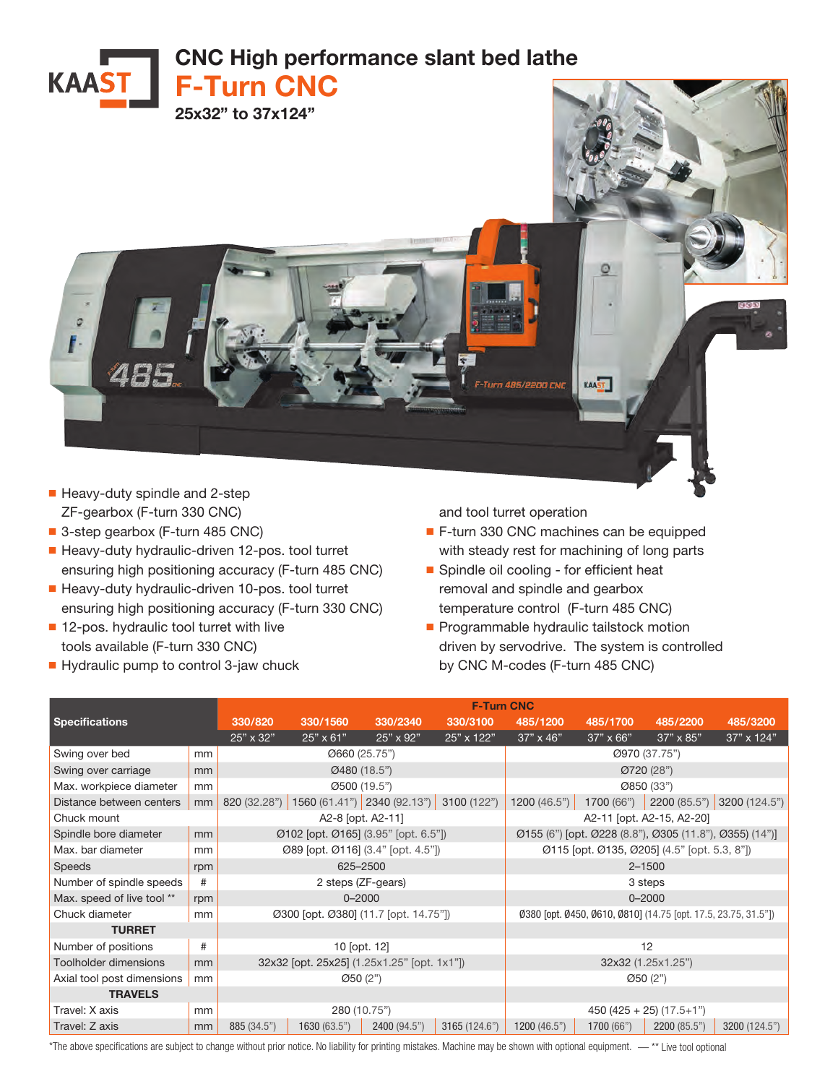

- Heavy-duty spindle and 2-step ZF-gearbox (F-turn 330 CNC)
- 3-step gearbox (F-turn 485 CNC)
- Heavy-duty hydraulic-driven 12-pos. tool turret ensuring high positioning accuracy (F-turn 485 CNC)
- Heavy-duty hydraulic-driven 10-pos. tool turret ensuring high positioning accuracy (F-turn 330 CNC)
- 12-pos. hydraulic tool turret with live tools available (F-turn 330 CNC)
- Hydraulic pump to control 3-jaw chuck

and tool turret operation

- F-turn 330 CNC machines can be equipped with steady rest for machining of long parts
- Spindle oil cooling for efficient heat removal and spindle and gearbox temperature control (F-turn 485 CNC)
- Programmable hydraulic tailstock motion driven by servodrive. The system is controlled by CNC M-codes (F-turn 485 CNC)

|                            |     | <b>F-Turn CNC</b>                           |                                                                |                             |               |                                                         |                  |                  |               |  |
|----------------------------|-----|---------------------------------------------|----------------------------------------------------------------|-----------------------------|---------------|---------------------------------------------------------|------------------|------------------|---------------|--|
| <b>Specifications</b>      |     | 330/820                                     | 330/1560                                                       | 330/2340                    | 330/3100      | 485/1200                                                | 485/1700         | 485/2200         | 485/3200      |  |
|                            |     | 25" x 32"                                   | 25" x 61"                                                      | $25" \times 92"$            | 25" x 122"    | $37" \times 46"$                                        | $37" \times 66"$ | $37" \times 85"$ | 37" x 124"    |  |
| Swing over bed             | mm  | Ø660 (25.75")                               |                                                                |                             |               | Ø970 (37.75")                                           |                  |                  |               |  |
| Swing over carriage        | mm  | Ø480 (18.5")                                |                                                                |                             |               | Ø720 (28")                                              |                  |                  |               |  |
| Max. workpiece diameter    | mm  | Ø500 (19.5")                                |                                                                |                             |               | Ø850 (33")                                              |                  |                  |               |  |
| Distance between centers   | mm  | 820 (32.28")                                |                                                                | 1560 (61.41") 2340 (92.13") | 3100 (122")   | 1200 (46.5")                                            | 1700 (66")       | 2200 (85.5")     | 3200 (124.5") |  |
| Chuck mount                |     | A2-8 [opt. A2-11]                           |                                                                |                             |               | A2-11 [opt. A2-15, A2-20]                               |                  |                  |               |  |
| Spindle bore diameter      | mm  | Ø102 [opt. Ø165] (3.95" [opt. 6.5"])        |                                                                |                             |               | Ø155 (6") [opt. Ø228 (8.8"), Ø305 (11.8"), Ø355) (14")] |                  |                  |               |  |
| Max. bar diameter          | mm  | Ø89 [opt. Ø116] (3.4" [opt. 4.5"])          |                                                                |                             |               | Ø115 [opt. Ø135, Ø205] (4.5" [opt. 5.3, 8"])            |                  |                  |               |  |
| <b>Speeds</b>              | rpm | 625-2500                                    |                                                                |                             |               | $2 - 1500$                                              |                  |                  |               |  |
| Number of spindle speeds   | #   | 2 steps (ZF-gears)                          |                                                                |                             |               | 3 steps                                                 |                  |                  |               |  |
| Max. speed of live tool ** | rpm | $0 - 2000$                                  |                                                                |                             |               | $0 - 2000$                                              |                  |                  |               |  |
| Chuck diameter             | mm  | Ø300 [opt. Ø380] (11.7 [opt. 14.75"])       | 0380 [opt. 0450, 0610, 0810] (14.75 [opt. 17.5, 23.75, 31.5"]) |                             |               |                                                         |                  |                  |               |  |
| <b>TURRET</b>              |     |                                             |                                                                |                             |               |                                                         |                  |                  |               |  |
| Number of positions        | #   | 10 [opt. 12]                                |                                                                |                             |               | 12                                                      |                  |                  |               |  |
| Toolholder dimensions      | mm  | 32x32 [opt. 25x25] (1.25x1.25" [opt. 1x1"]) |                                                                |                             |               | 32x32 (1.25x1.25")                                      |                  |                  |               |  |
| Axial tool post dimensions | mm  | Ø50 (2")                                    |                                                                |                             |               | Ø50(2")                                                 |                  |                  |               |  |
| <b>TRAVELS</b>             |     |                                             |                                                                |                             |               |                                                         |                  |                  |               |  |
| Travel: X axis             | mm  | 280 (10.75")                                |                                                                |                             |               | $450 (425 + 25) (17.5 + 1")$                            |                  |                  |               |  |
| Travel: Z axis             | mm  | 885 (34.5")                                 | 1630 (63.5")                                                   | 2400 (94.5")                | 3165 (124.6") | 1200(46.5")                                             | 1700 (66")       | 2200 (85.5")     | 3200 (124.5") |  |

\*The above specifications are subject to change without prior notice. No liability for printing mistakes. Machine may be shown with optional equipment. — \*\* Live tool optional